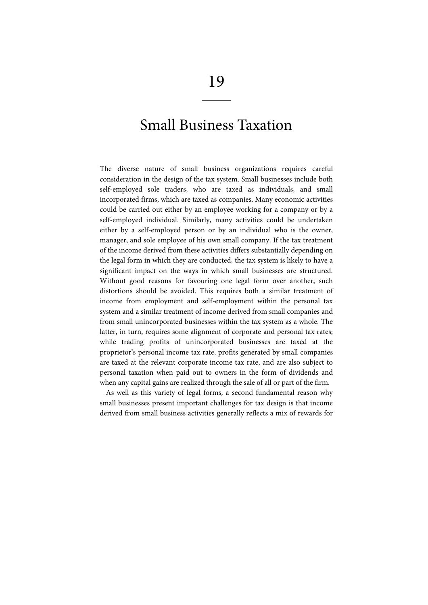Mmmm

# Small Business Taxation

The diverse nature of small business organizations requires careful consideration in the design of the tax system. Small businesses include both self-employed sole traders, who are taxed as individuals, and small incorporated firms, which are taxed as companies. Many economic activities could be carried out either by an employee working for a company or by a self-employed individual. Similarly, many activities could be undertaken either by a self-employed person or by an individual who is the owner, manager, and sole employee of his own small company. If the tax treatment of the income derived from these activities differs substantially depending on the legal form in which they are conducted, the tax system is likely to have a significant impact on the ways in which small businesses are structured. Without good reasons for favouring one legal form over another, such distortions should be avoided. This requires both a similar treatment of income from employment and self-employment within the personal tax system and a similar treatment of income derived from small companies and from small unincorporated businesses within the tax system as a whole. The latter, in turn, requires some alignment of corporate and personal tax rates; while trading profits of unincorporated businesses are taxed at the proprietor's personal income tax rate, profits generated by small companies are taxed at the relevant corporate income tax rate, and are also subject to personal taxation when paid out to owners in the form of dividends and when any capital gains are realized through the sale of all or part of the firm.

As well as this variety of legal forms, a second fundamental reason why small businesses present important challenges for tax design is that income derived from small business activities generally reflects a mix of rewards for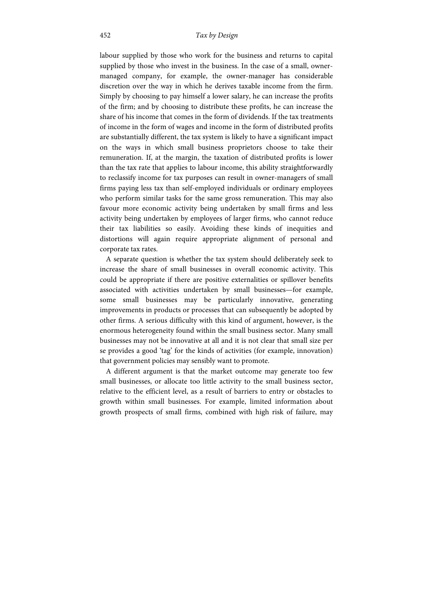labour supplied by those who work for the business and returns to capital supplied by those who invest in the business. In the case of a small, ownermanaged company, for example, the owner-manager has considerable discretion over the way in which he derives taxable income from the firm. Simply by choosing to pay himself a lower salary, he can increase the profits of the firm; and by choosing to distribute these profits, he can increase the share of his income that comes in the form of dividends. If the tax treatments of income in the form of wages and income in the form of distributed profits are substantially different, the tax system is likely to have a significant impact on the ways in which small business proprietors choose to take their remuneration. If, at the margin, the taxation of distributed profits is lower than the tax rate that applies to labour income, this ability straightforwardly to reclassify income for tax purposes can result in owner-managers of small firms paying less tax than self-employed individuals or ordinary employees who perform similar tasks for the same gross remuneration. This may also favour more economic activity being undertaken by small firms and less activity being undertaken by employees of larger firms, who cannot reduce their tax liabilities so easily. Avoiding these kinds of inequities and distortions will again require appropriate alignment of personal and corporate tax rates.

A separate question is whether the tax system should deliberately seek to increase the share of small businesses in overall economic activity. This could be appropriate if there are positive externalities or spillover benefits associated with activities undertaken by small businesses—for example, some small businesses may be particularly innovative, generating improvements in products or processes that can subsequently be adopted by other firms. A serious difficulty with this kind of argument, however, is the enormous heterogeneity found within the small business sector. Many small businesses may not be innovative at all and it is not clear that small size per se provides a good 'tag' for the kinds of activities (for example, innovation) that government policies may sensibly want to promote.

A different argument is that the market outcome may generate too few small businesses, or allocate too little activity to the small business sector, relative to the efficient level, as a result of barriers to entry or obstacles to growth within small businesses. For example, limited information about growth prospects of small firms, combined with high risk of failure, may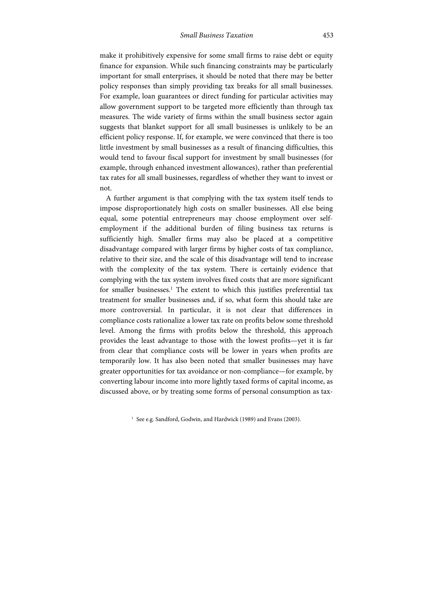make it prohibitively expensive for some small firms to raise debt or equity finance for expansion. While such financing constraints may be particularly important for small enterprises, it should be noted that there may be better policy responses than simply providing tax breaks for all small businesses. For example, loan guarantees or direct funding for particular activities may allow government support to be targeted more efficiently than through tax measures. The wide variety of firms within the small business sector again suggests that blanket support for all small businesses is unlikely to be an efficient policy response. If, for example, we were convinced that there is too little investment by small businesses as a result of financing difficulties, this would tend to favour fiscal support for investment by small businesses (for example, through enhanced investment allowances), rather than preferential tax rates for all small businesses, regardless of whether they want to invest or not.

A further argument is that complying with the tax system itself tends to impose disproportionately high costs on smaller businesses. All else being equal, some potential entrepreneurs may choose employment over selfemployment if the additional burden of filing business tax returns is sufficiently high. Smaller firms may also be placed at a competitive disadvantage compared with larger firms by higher costs of tax compliance, relative to their size, and the scale of this disadvantage will tend to increase with the complexity of the tax system. There is certainly evidence that complying with the tax system involves fixed costs that are more significant for smaller businesses.<sup>1</sup> The extent to which this justifies preferential tax treatment for smaller businesses and, if so, what form this should take are more controversial. In particular, it is not clear that differences in compliance costs rationalize a lower tax rate on profits below some threshold level. Among the firms with profits below the threshold, this approach provides the least advantage to those with the lowest profits—yet it is far from clear that compliance costs will be lower in years when profits are temporarily low. It has also been noted that smaller businesses may have greater opportunities for tax avoidance or non-compliance—for example, by converting labour income into more lightly taxed forms of capital income, as discussed above, or by treating some forms of personal consumption as tax-

<sup>1</sup> See e.g. Sandford, Godwin, and Hardwick (1989) and Evans (2003).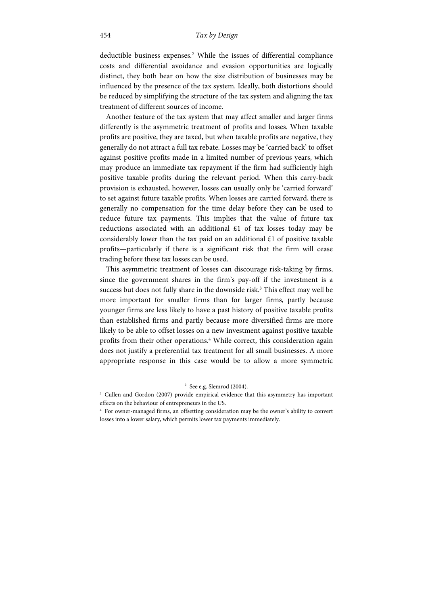deductible business expenses.<sup>2</sup> While the issues of differential compliance costs and differential avoidance and evasion opportunities are logically distinct, they both bear on how the size distribution of businesses may be influenced by the presence of the tax system. Ideally, both distortions should be reduced by simplifying the structure of the tax system and aligning the tax treatment of different sources of income.

Another feature of the tax system that may affect smaller and larger firms differently is the asymmetric treatment of profits and losses. When taxable profits are positive, they are taxed, but when taxable profits are negative, they generally do not attract a full tax rebate. Losses may be 'carried back' to offset against positive profits made in a limited number of previous years, which may produce an immediate tax repayment if the firm had sufficiently high positive taxable profits during the relevant period. When this carry-back provision is exhausted, however, losses can usually only be 'carried forward' to set against future taxable profits. When losses are carried forward, there is generally no compensation for the time delay before they can be used to reduce future tax payments. This implies that the value of future tax reductions associated with an additional £1 of tax losses today may be considerably lower than the tax paid on an additional £1 of positive taxable profits—particularly if there is a significant risk that the firm will cease trading before these tax losses can be used.

This asymmetric treatment of losses can discourage risk-taking by firms, since the government shares in the firm's pay-off if the investment is a success but does not fully share in the downside risk.<sup>3</sup> This effect may well be more important for smaller firms than for larger firms, partly because younger firms are less likely to have a past history of positive taxable profits than established firms and partly because more diversified firms are more likely to be able to offset losses on a new investment against positive taxable profits from their other operations.<sup>4</sup> While correct, this consideration again does not justify a preferential tax treatment for all small businesses. A more appropriate response in this case would be to allow a more symmetric

<sup>&</sup>lt;sup>2</sup> See e.g. Slemrod (2004).<br><sup>3</sup> Cullen and Gordon (2007) provide empirical evidence that this asymmetry has important effects on the behaviour of entrepreneurs in the US.<br><sup>4</sup> For owner-managed firms, an offsetting consideration may be the owner's ability to convert

losses into a lower salary, which permits lower tax payments immediately.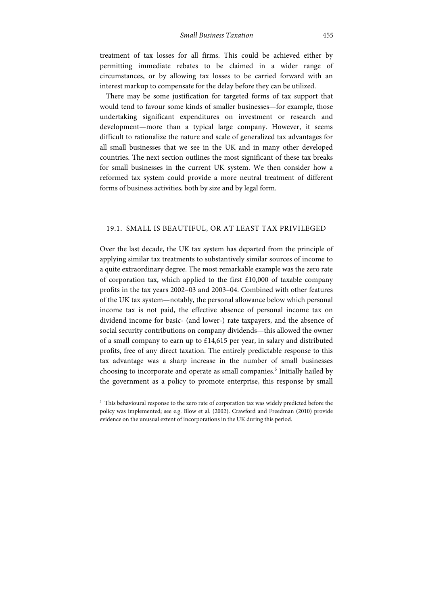treatment of tax losses for all firms. This could be achieved either by permitting immediate rebates to be claimed in a wider range of circumstances, or by allowing tax losses to be carried forward with an interest markup to compensate for the delay before they can be utilized.

There may be some justification for targeted forms of tax support that would tend to favour some kinds of smaller businesses—for example, those undertaking significant expenditures on investment or research and development—more than a typical large company. However, it seems difficult to rationalize the nature and scale of generalized tax advantages for all small businesses that we see in the UK and in many other developed countries. The next section outlines the most significant of these tax breaks for small businesses in the current UK system. We then consider how a reformed tax system could provide a more neutral treatment of different forms of business activities, both by size and by legal form.

#### 19.1. SMALL IS BEAUTIFUL, OR AT LEAST TAX PRIVILEGED

Over the last decade, the UK tax system has departed from the principle of applying similar tax treatments to substantively similar sources of income to a quite extraordinary degree. The most remarkable example was the zero rate of corporation tax, which applied to the first £10,000 of taxable company profits in the tax years 2002–03 and 2003–04. Combined with other features of the UK tax system—notably, the personal allowance below which personal income tax is not paid, the effective absence of personal income tax on dividend income for basic- (and lower-) rate taxpayers, and the absence of social security contributions on company dividends—this allowed the owner of a small company to earn up to £14,615 per year, in salary and distributed profits, free of any direct taxation. The entirely predictable response to this tax advantage was a sharp increase in the number of small businesses choosing to incorporate and operate as small companies.<sup>5</sup> Initially hailed by the government as a policy to promote enterprise, this response by small

<sup>&</sup>lt;sup>5</sup> This behavioural response to the zero rate of corporation tax was widely predicted before the policy was implemented; see e.g. Blow et al. (2002). Crawford and Freedman (2010) provide evidence on the unusual extent of incorporations in the UK during this period.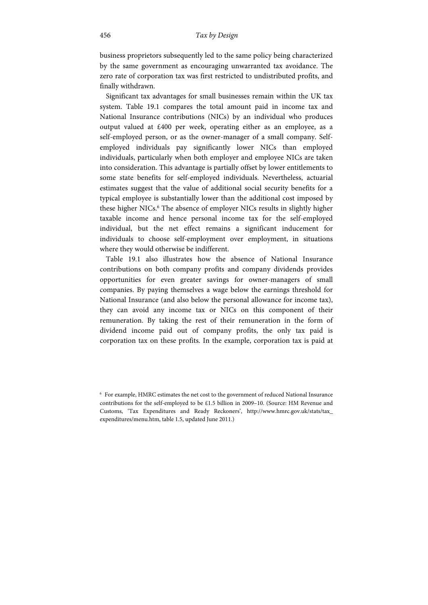business proprietors subsequently led to the same policy being characterized by the same government as encouraging unwarranted tax avoidance. The zero rate of corporation tax was first restricted to undistributed profits, and finally withdrawn.

Significant tax advantages for small businesses remain within the UK tax system. Table 19.1 compares the total amount paid in income tax and National Insurance contributions (NICs) by an individual who produces output valued at £400 per week, operating either as an employee, as a self-employed person, or as the owner-manager of a small company. Selfemployed individuals pay significantly lower NICs than employed individuals, particularly when both employer and employee NICs are taken into consideration. This advantage is partially offset by lower entitlements to some state benefits for self-employed individuals. Nevertheless, actuarial estimates suggest that the value of additional social security benefits for a typical employee is substantially lower than the additional cost imposed by these higher NICs.<sup>6</sup> The absence of employer NICs results in slightly higher taxable income and hence personal income tax for the self-employed individual, but the net effect remains a significant inducement for individuals to choose self-employment over employment, in situations where they would otherwise be indifferent.

Table 19.1 also illustrates how the absence of National Insurance contributions on both company profits and company dividends provides opportunities for even greater savings for owner-managers of small companies. By paying themselves a wage below the earnings threshold for National Insurance (and also below the personal allowance for income tax), they can avoid any income tax or NICs on this component of their remuneration. By taking the rest of their remuneration in the form of dividend income paid out of company profits, the only tax paid is corporation tax on these profits. In the example, corporation tax is paid at

<sup>6</sup> For example, HMRC estimates the net cost to the government of reduced National Insurance contributions for the self-employed to be £1.5 billion in 2009–10. (Source: HM Revenue and Customs, 'Tax Expenditures and Ready Reckoners', http://www.hmrc.gov.uk/stats/tax\_ expenditures/menu.htm, table 1.5, updated June 2011.)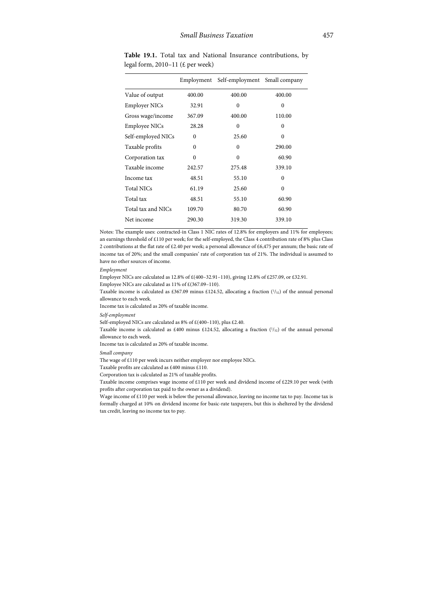|                      |          | Employment Self-employment Small company |          |
|----------------------|----------|------------------------------------------|----------|
| Value of output      | 400.00   | 400.00                                   | 400.00   |
| <b>Employer NICs</b> | 32.91    | $\theta$                                 | $\Omega$ |
| Gross wage/income    | 367.09   | 400.00                                   | 110.00   |
| Employee NICs        | 28.28    | $\theta$                                 | $\Omega$ |
| Self-employed NICs   | $\Omega$ | 25.60                                    | $\Omega$ |
| Taxable profits      | $\Omega$ | $\theta$                                 | 290.00   |
| Corporation tax      | $\Omega$ | $\Omega$                                 | 60.90    |
| Taxable income       | 242.57   | 275.48                                   | 339.10   |
| Income tax           | 48.51    | 55.10                                    | $\Omega$ |
| <b>Total NICs</b>    | 61.19    | 25.60                                    | $\Omega$ |
| Total tax            | 48.51    | 55.10                                    | 60.90    |
| Total tax and NICs   | 109.70   | 80.70                                    | 60.90    |
| Net income           | 290.30   | 319.30                                   | 339.10   |

**Table 19.1.** Total tax and National Insurance contributions, by legal form, 2010–11 (£ per week)

Notes: The example uses: contracted-in Class 1 NIC rates of 12.8% for employers and 11% for employees; an earnings threshold of £110 per week; for the self-employed, the Class 4 contribution rate of 8% plus Class 2 contributions at the flat rate of £2.40 per week; a personal allowance of £6,475 per annum; the basic rate of income tax of 20%; and the small companies' rate of corporation tax of 21%. The individual is assumed to have no other sources of income.

Employment

Employer NICs are calculated as 12.8% of £(400–32.91–110), giving 12.8% of £257.09, or £32.91.

Employee NICs are calculated as 11% of £(367.09–110).

Taxable income is calculated as £367.09 minus £124.52, allocating a fraction  $(^{1}/_{52})$  of the annual personal allowance to each week.

Income tax is calculated as 20% of taxable income.

Self-employment

Self-employed NICs are calculated as 8% of £(400–110), plus £2.40.

Taxable income is calculated as £400 minus £124.52, allocating a fraction  $(^{1}/_{52})$  of the annual personal allowance to each week.

Income tax is calculated as 20% of taxable income.

Small company

The wage of £110 per week incurs neither employer nor employee NICs.

Taxable profits are calculated as £400 minus £110.

Corporation tax is calculated as 21% of taxable profits.

Taxable income comprises wage income of £110 per week and dividend income of £229.10 per week (with profits after corporation tax paid to the owner as a dividend).

Wage income of £110 per week is below the personal allowance, leaving no income tax to pay. Income tax is formally charged at 10% on dividend income for basic-rate taxpayers, but this is sheltered by the dividend tax credit, leaving no income tax to pay.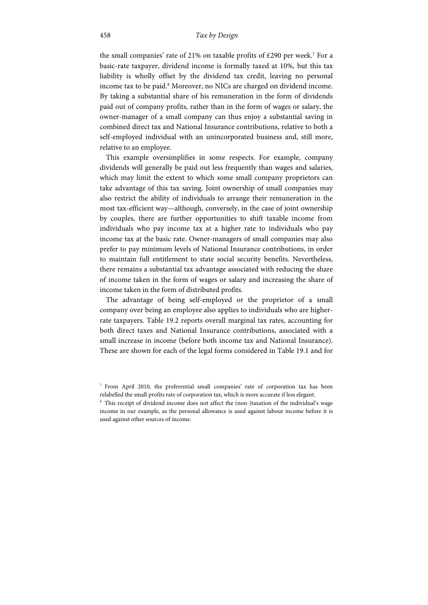the small companies' rate of 21% on taxable profits of £290 per week.<sup>7</sup> For a basic-rate taxpayer, dividend income is formally taxed at 10%, but this tax liability is wholly offset by the dividend tax credit, leaving no personal income tax to be paid.<sup>8</sup> Moreover, no NICs are charged on dividend income. By taking a substantial share of his remuneration in the form of dividends paid out of company profits, rather than in the form of wages or salary, the owner-manager of a small company can thus enjoy a substantial saving in combined direct tax and National Insurance contributions, relative to both a self-employed individual with an unincorporated business and, still more, relative to an employee.

This example oversimplifies in some respects. For example, company dividends will generally be paid out less frequently than wages and salaries, which may limit the extent to which some small company proprietors can take advantage of this tax saving. Joint ownership of small companies may also restrict the ability of individuals to arrange their remuneration in the most tax-efficient way—although, conversely, in the case of joint ownership by couples, there are further opportunities to shift taxable income from individuals who pay income tax at a higher rate to individuals who pay income tax at the basic rate. Owner-managers of small companies may also prefer to pay minimum levels of National Insurance contributions, in order to maintain full entitlement to state social security benefits. Nevertheless, there remains a substantial tax advantage associated with reducing the share of income taken in the form of wages or salary and increasing the share of income taken in the form of distributed profits.

The advantage of being self-employed or the proprietor of a small company over being an employee also applies to individuals who are higherrate taxpayers. Table 19.2 reports overall marginal tax rates, accounting for both direct taxes and National Insurance contributions, associated with a small increase in income (before both income tax and National Insurance). These are shown for each of the legal forms considered in Table 19.1 and for

<sup>7</sup> From April 2010, the preferential small companies' rate of corporation tax has been relabelled the small profits rate of corporation tax, which is more accurate if less elegant. 8 This receipt of dividend income does not affect the (non-)taxation of the individual's wage

income in our example, as the personal allowance is used against labour income before it is used against other sources of income.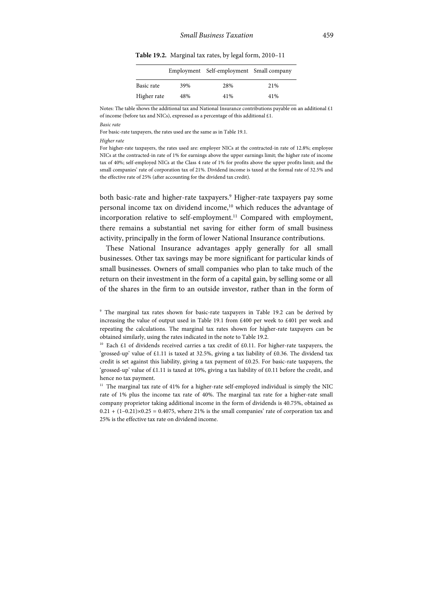**Table 19.2.** Marginal tax rates, by legal form, 2010–11

|             |     | Employment Self-employment Small company |     |
|-------------|-----|------------------------------------------|-----|
| Basic rate  | 39% | 28%                                      | 21% |
| Higher rate | 48% | 41%                                      | 41% |

Notes: The table shows the additional tax and National Insurance contributions payable on an additional  $\text{\pounds}1$ of income (before tax and NICs), expressed as a percentage of this additional £1.

Basic rate

For basic-rate taxpayers, the rates used are the same as in Table 19.1.

Higher rate

For higher-rate taxpayers, the rates used are: employer NICs at the contracted-in rate of 12.8%; employee NICs at the contracted-in rate of 1% for earnings above the upper earnings limit; the higher rate of income tax of 40%; self-employed NICs at the Class 4 rate of 1% for profits above the upper profits limit; and the small companies' rate of corporation tax of 21%. Dividend income is taxed at the formal rate of 32.5% and the effective rate of 25% (after accounting for the dividend tax credit).

both basic-rate and higher-rate taxpayers.<sup>9</sup> Higher-rate taxpayers pay some personal income tax on dividend income,<sup>10</sup> which reduces the advantage of incorporation relative to self-employment.<sup>11</sup> Compared with employment, there remains a substantial net saving for either form of small business activity, principally in the form of lower National Insurance contributions.

These National Insurance advantages apply generally for all small businesses. Other tax savings may be more significant for particular kinds of small businesses. Owners of small companies who plan to take much of the return on their investment in the form of a capital gain, by selling some or all of the shares in the firm to an outside investor, rather than in the form of

 $11$  The marginal tax rate of 41% for a higher-rate self-employed individual is simply the NIC rate of 1% plus the income tax rate of 40%. The marginal tax rate for a higher-rate small company proprietor taking additional income in the form of dividends is 40.75%, obtained as  $0.21 + (1-0.21)\times0.25 = 0.4075$ , where 21% is the small companies' rate of corporation tax and 25% is the effective tax rate on dividend income.

<sup>9</sup> The marginal tax rates shown for basic-rate taxpayers in Table 19.2 can be derived by increasing the value of output used in Table 19.1 from £400 per week to £401 per week and repeating the calculations. The marginal tax rates shown for higher-rate taxpayers can be

obtained similarly, using the rates indicated in the note to Table 19.2.<br><sup>10</sup> Each £1 of dividends received carries a tax credit of £0.11. For higher-rate taxpayers, the 'grossed-up' value of £1.11 is taxed at 32.5%, giving a tax liability of £0.36. The dividend tax credit is set against this liability, giving a tax payment of £0.25. For basic-rate taxpayers, the 'grossed-up' value of £1.11 is taxed at 10%, giving a tax liability of £0.11 before the credit, and hence no tax payment.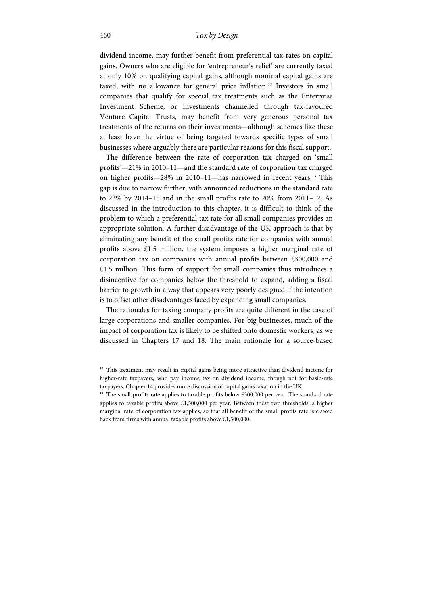### 460 Tax by Design

dividend income, may further benefit from preferential tax rates on capital gains. Owners who are eligible for 'entrepreneur's relief' are currently taxed at only 10% on qualifying capital gains, although nominal capital gains are taxed, with no allowance for general price inflation.<sup>12</sup> Investors in small companies that qualify for special tax treatments such as the Enterprise Investment Scheme, or investments channelled through tax-favoured Venture Capital Trusts, may benefit from very generous personal tax treatments of the returns on their investments—although schemes like these at least have the virtue of being targeted towards specific types of small businesses where arguably there are particular reasons for this fiscal support.

The difference between the rate of corporation tax charged on 'small profits'—21% in 2010–11—and the standard rate of corporation tax charged on higher profits—28% in 2010–11—has narrowed in recent years.13 This gap is due to narrow further, with announced reductions in the standard rate to 23% by 2014–15 and in the small profits rate to 20% from 2011–12. As discussed in the introduction to this chapter, it is difficult to think of the problem to which a preferential tax rate for all small companies provides an appropriate solution. A further disadvantage of the UK approach is that by eliminating any benefit of the small profits rate for companies with annual profits above £1.5 million, the system imposes a higher marginal rate of corporation tax on companies with annual profits between £300,000 and £1.5 million. This form of support for small companies thus introduces a disincentive for companies below the threshold to expand, adding a fiscal barrier to growth in a way that appears very poorly designed if the intention is to offset other disadvantages faced by expanding small companies.

The rationales for taxing company profits are quite different in the case of large corporations and smaller companies. For big businesses, much of the impact of corporation tax is likely to be shifted onto domestic workers, as we discussed in Chapters 17 and 18. The main rationale for a source-based

<sup>&</sup>lt;sup>12</sup> This treatment may result in capital gains being more attractive than dividend income for higher-rate taxpayers, who pay income tax on dividend income, though not for basic-rate

taxpayers. Chapter 14 provides more discussion of capital gains taxation in the UK.<br><sup>13</sup> The small profits rate applies to taxable profits below £300,000 per year. The standard rate applies to taxable profits above £1,500,000 per year. Between these two thresholds, a higher marginal rate of corporation tax applies, so that all benefit of the small profits rate is clawed back from firms with annual taxable profits above £1,500,000.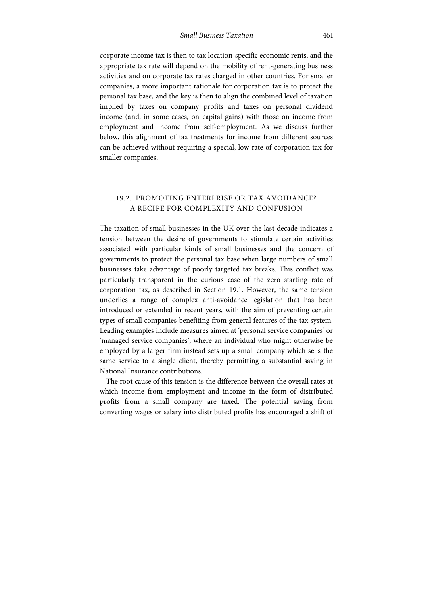corporate income tax is then to tax location-specific economic rents, and the appropriate tax rate will depend on the mobility of rent-generating business activities and on corporate tax rates charged in other countries. For smaller companies, a more important rationale for corporation tax is to protect the personal tax base, and the key is then to align the combined level of taxation implied by taxes on company profits and taxes on personal dividend income (and, in some cases, on capital gains) with those on income from employment and income from self-employment. As we discuss further below, this alignment of tax treatments for income from different sources can be achieved without requiring a special, low rate of corporation tax for smaller companies.

## 19.2. PROMOTING ENTERPRISE OR TAX AVOIDANCE? A RECIPE FOR COMPLEXITY AND CONFUSION

The taxation of small businesses in the UK over the last decade indicates a tension between the desire of governments to stimulate certain activities associated with particular kinds of small businesses and the concern of governments to protect the personal tax base when large numbers of small businesses take advantage of poorly targeted tax breaks. This conflict was particularly transparent in the curious case of the zero starting rate of corporation tax, as described in Section 19.1. However, the same tension underlies a range of complex anti-avoidance legislation that has been introduced or extended in recent years, with the aim of preventing certain types of small companies benefiting from general features of the tax system. Leading examples include measures aimed at 'personal service companies' or 'managed service companies', where an individual who might otherwise be employed by a larger firm instead sets up a small company which sells the same service to a single client, thereby permitting a substantial saving in National Insurance contributions.

The root cause of this tension is the difference between the overall rates at which income from employment and income in the form of distributed profits from a small company are taxed. The potential saving from converting wages or salary into distributed profits has encouraged a shift of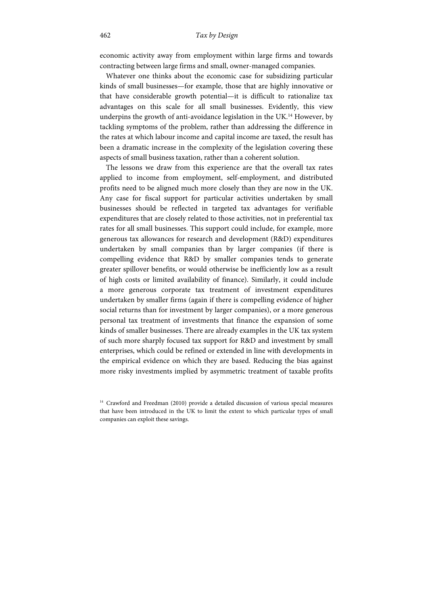economic activity away from employment within large firms and towards contracting between large firms and small, owner-managed companies.

Whatever one thinks about the economic case for subsidizing particular kinds of small businesses—for example, those that are highly innovative or that have considerable growth potential—it is difficult to rationalize tax advantages on this scale for all small businesses. Evidently, this view underpins the growth of anti-avoidance legislation in the UK.<sup>14</sup> However, by tackling symptoms of the problem, rather than addressing the difference in the rates at which labour income and capital income are taxed, the result has been a dramatic increase in the complexity of the legislation covering these aspects of small business taxation, rather than a coherent solution.

The lessons we draw from this experience are that the overall tax rates applied to income from employment, self-employment, and distributed profits need to be aligned much more closely than they are now in the UK. Any case for fiscal support for particular activities undertaken by small businesses should be reflected in targeted tax advantages for verifiable expenditures that are closely related to those activities, not in preferential tax rates for all small businesses. This support could include, for example, more generous tax allowances for research and development (R&D) expenditures undertaken by small companies than by larger companies (if there is compelling evidence that R&D by smaller companies tends to generate greater spillover benefits, or would otherwise be inefficiently low as a result of high costs or limited availability of finance). Similarly, it could include a more generous corporate tax treatment of investment expenditures undertaken by smaller firms (again if there is compelling evidence of higher social returns than for investment by larger companies), or a more generous personal tax treatment of investments that finance the expansion of some kinds of smaller businesses. There are already examples in the UK tax system of such more sharply focused tax support for R&D and investment by small enterprises, which could be refined or extended in line with developments in the empirical evidence on which they are based. Reducing the bias against more risky investments implied by asymmetric treatment of taxable profits

<sup>&</sup>lt;sup>14</sup> Crawford and Freedman (2010) provide a detailed discussion of various special measures that have been introduced in the UK to limit the extent to which particular types of small companies can exploit these savings.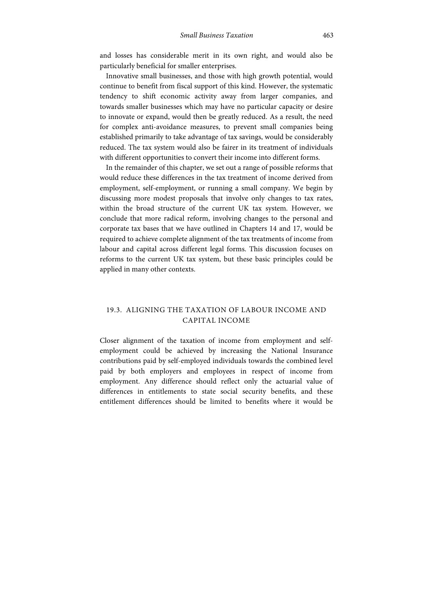and losses has considerable merit in its own right, and would also be particularly beneficial for smaller enterprises.

Innovative small businesses, and those with high growth potential, would continue to benefit from fiscal support of this kind. However, the systematic tendency to shift economic activity away from larger companies, and towards smaller businesses which may have no particular capacity or desire to innovate or expand, would then be greatly reduced. As a result, the need for complex anti-avoidance measures, to prevent small companies being established primarily to take advantage of tax savings, would be considerably reduced. The tax system would also be fairer in its treatment of individuals with different opportunities to convert their income into different forms.

In the remainder of this chapter, we set out a range of possible reforms that would reduce these differences in the tax treatment of income derived from employment, self-employment, or running a small company. We begin by discussing more modest proposals that involve only changes to tax rates, within the broad structure of the current UK tax system. However, we conclude that more radical reform, involving changes to the personal and corporate tax bases that we have outlined in Chapters 14 and 17, would be required to achieve complete alignment of the tax treatments of income from labour and capital across different legal forms. This discussion focuses on reforms to the current UK tax system, but these basic principles could be applied in many other contexts.

## 19.3. ALIGNING THE TAXATION OF LABOUR INCOME AND CAPITAL INCOME

Closer alignment of the taxation of income from employment and selfemployment could be achieved by increasing the National Insurance contributions paid by self-employed individuals towards the combined level paid by both employers and employees in respect of income from employment. Any difference should reflect only the actuarial value of differences in entitlements to state social security benefits, and these entitlement differences should be limited to benefits where it would be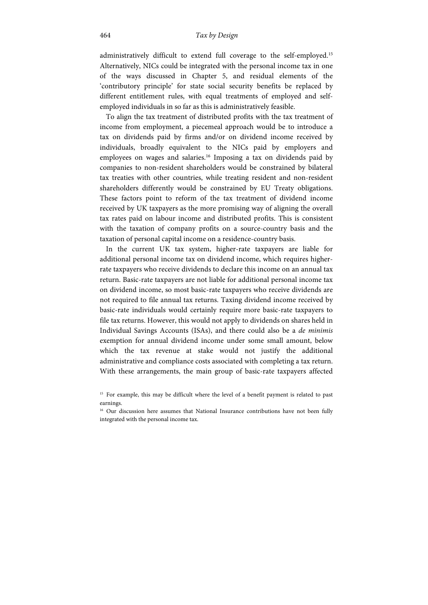administratively difficult to extend full coverage to the self-employed.15 Alternatively, NICs could be integrated with the personal income tax in one of the ways discussed in Chapter 5, and residual elements of the 'contributory principle' for state social security benefits be replaced by different entitlement rules, with equal treatments of employed and selfemployed individuals in so far as this is administratively feasible.

To align the tax treatment of distributed profits with the tax treatment of income from employment, a piecemeal approach would be to introduce a tax on dividends paid by firms and/or on dividend income received by individuals, broadly equivalent to the NICs paid by employers and employees on wages and salaries.<sup>16</sup> Imposing a tax on dividends paid by companies to non-resident shareholders would be constrained by bilateral tax treaties with other countries, while treating resident and non-resident shareholders differently would be constrained by EU Treaty obligations. These factors point to reform of the tax treatment of dividend income received by UK taxpayers as the more promising way of aligning the overall tax rates paid on labour income and distributed profits. This is consistent with the taxation of company profits on a source-country basis and the taxation of personal capital income on a residence-country basis.

In the current UK tax system, higher-rate taxpayers are liable for additional personal income tax on dividend income, which requires higherrate taxpayers who receive dividends to declare this income on an annual tax return. Basic-rate taxpayers are not liable for additional personal income tax on dividend income, so most basic-rate taxpayers who receive dividends are not required to file annual tax returns. Taxing dividend income received by basic-rate individuals would certainly require more basic-rate taxpayers to file tax returns. However, this would not apply to dividends on shares held in Individual Savings Accounts (ISAs), and there could also be a de minimis exemption for annual dividend income under some small amount, below which the tax revenue at stake would not justify the additional administrative and compliance costs associated with completing a tax return. With these arrangements, the main group of basic-rate taxpayers affected

<sup>&</sup>lt;sup>15</sup> For example, this may be difficult where the level of a benefit payment is related to past earnings.

<sup>&</sup>lt;sup>16</sup> Our discussion here assumes that National Insurance contributions have not been fully integrated with the personal income tax.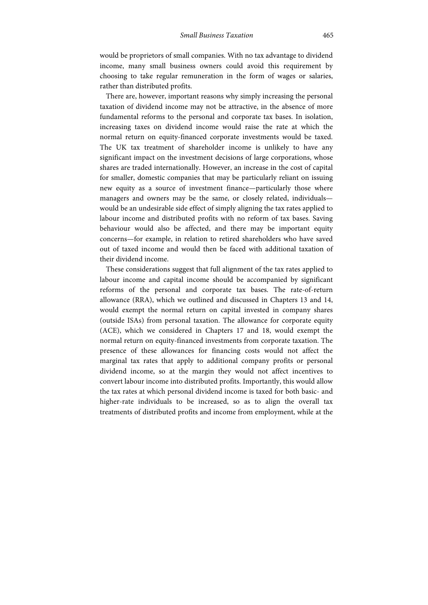would be proprietors of small companies. With no tax advantage to dividend income, many small business owners could avoid this requirement by choosing to take regular remuneration in the form of wages or salaries, rather than distributed profits.

There are, however, important reasons why simply increasing the personal taxation of dividend income may not be attractive, in the absence of more fundamental reforms to the personal and corporate tax bases. In isolation, increasing taxes on dividend income would raise the rate at which the normal return on equity-financed corporate investments would be taxed. The UK tax treatment of shareholder income is unlikely to have any significant impact on the investment decisions of large corporations, whose shares are traded internationally. However, an increase in the cost of capital for smaller, domestic companies that may be particularly reliant on issuing new equity as a source of investment finance—particularly those where managers and owners may be the same, or closely related, individuals would be an undesirable side effect of simply aligning the tax rates applied to labour income and distributed profits with no reform of tax bases. Saving behaviour would also be affected, and there may be important equity concerns—for example, in relation to retired shareholders who have saved out of taxed income and would then be faced with additional taxation of their dividend income.

These considerations suggest that full alignment of the tax rates applied to labour income and capital income should be accompanied by significant reforms of the personal and corporate tax bases. The rate-of-return allowance (RRA), which we outlined and discussed in Chapters 13 and 14, would exempt the normal return on capital invested in company shares (outside ISAs) from personal taxation. The allowance for corporate equity (ACE), which we considered in Chapters 17 and 18, would exempt the normal return on equity-financed investments from corporate taxation. The presence of these allowances for financing costs would not affect the marginal tax rates that apply to additional company profits or personal dividend income, so at the margin they would not affect incentives to convert labour income into distributed profits. Importantly, this would allow the tax rates at which personal dividend income is taxed for both basic- and higher-rate individuals to be increased, so as to align the overall tax treatments of distributed profits and income from employment, while at the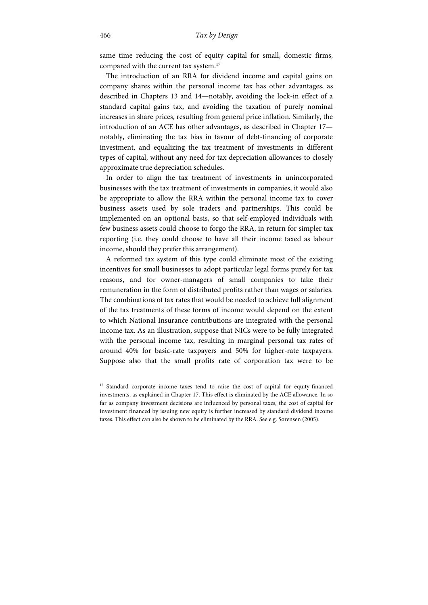same time reducing the cost of equity capital for small, domestic firms, compared with the current tax system.17

The introduction of an RRA for dividend income and capital gains on company shares within the personal income tax has other advantages, as described in Chapters 13 and 14—notably, avoiding the lock-in effect of a standard capital gains tax, and avoiding the taxation of purely nominal increases in share prices, resulting from general price inflation. Similarly, the introduction of an ACE has other advantages, as described in Chapter 17 notably, eliminating the tax bias in favour of debt-financing of corporate investment, and equalizing the tax treatment of investments in different types of capital, without any need for tax depreciation allowances to closely approximate true depreciation schedules.

In order to align the tax treatment of investments in unincorporated businesses with the tax treatment of investments in companies, it would also be appropriate to allow the RRA within the personal income tax to cover business assets used by sole traders and partnerships. This could be implemented on an optional basis, so that self-employed individuals with few business assets could choose to forgo the RRA, in return for simpler tax reporting (i.e. they could choose to have all their income taxed as labour income, should they prefer this arrangement).

A reformed tax system of this type could eliminate most of the existing incentives for small businesses to adopt particular legal forms purely for tax reasons, and for owner-managers of small companies to take their remuneration in the form of distributed profits rather than wages or salaries. The combinations of tax rates that would be needed to achieve full alignment of the tax treatments of these forms of income would depend on the extent to which National Insurance contributions are integrated with the personal income tax. As an illustration, suppose that NICs were to be fully integrated with the personal income tax, resulting in marginal personal tax rates of around 40% for basic-rate taxpayers and 50% for higher-rate taxpayers. Suppose also that the small profits rate of corporation tax were to be

<sup>&</sup>lt;sup>17</sup> Standard corporate income taxes tend to raise the cost of capital for equity-financed investments, as explained in Chapter 17. This effect is eliminated by the ACE allowance. In so far as company investment decisions are influenced by personal taxes, the cost of capital for investment financed by issuing new equity is further increased by standard dividend income taxes. This effect can also be shown to be eliminated by the RRA. See e.g. Sørensen (2005).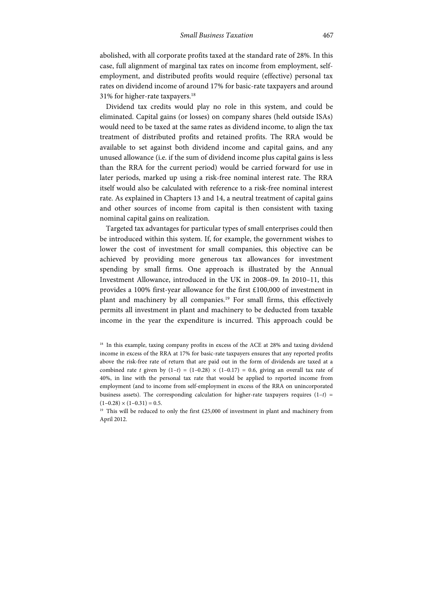abolished, with all corporate profits taxed at the standard rate of 28%. In this case, full alignment of marginal tax rates on income from employment, selfemployment, and distributed profits would require (effective) personal tax rates on dividend income of around 17% for basic-rate taxpayers and around 31% for higher-rate taxpayers.18

Dividend tax credits would play no role in this system, and could be eliminated. Capital gains (or losses) on company shares (held outside ISAs) would need to be taxed at the same rates as dividend income, to align the tax treatment of distributed profits and retained profits. The RRA would be available to set against both dividend income and capital gains, and any unused allowance (i.e. if the sum of dividend income plus capital gains is less than the RRA for the current period) would be carried forward for use in later periods, marked up using a risk-free nominal interest rate. The RRA itself would also be calculated with reference to a risk-free nominal interest rate. As explained in Chapters 13 and 14, a neutral treatment of capital gains and other sources of income from capital is then consistent with taxing nominal capital gains on realization.

Targeted tax advantages for particular types of small enterprises could then be introduced within this system. If, for example, the government wishes to lower the cost of investment for small companies, this objective can be achieved by providing more generous tax allowances for investment spending by small firms. One approach is illustrated by the Annual Investment Allowance, introduced in the UK in 2008–09. In 2010–11, this provides a 100% first-year allowance for the first £100,000 of investment in plant and machinery by all companies.19 For small firms, this effectively permits all investment in plant and machinery to be deducted from taxable income in the year the expenditure is incurred. This approach could be

<sup>&</sup>lt;sup>18</sup> In this example, taxing company profits in excess of the ACE at 28% and taxing dividend income in excess of the RRA at 17% for basic-rate taxpayers ensures that any reported profits above the risk-free rate of return that are paid out in the form of dividends are taxed at a combined rate t given by  $(1-t) = (1-0.28) \times (1-0.17) = 0.6$ , giving an overall tax rate of 40%, in line with the personal tax rate that would be applied to reported income from employment (and to income from self-employment in excess of the RRA on unincorporated business assets). The corresponding calculation for higher-rate taxpayers requires  $(1-t)$  =  $(1-0.28) \times (1-0.31) = 0.5.$ 

<sup>&</sup>lt;sup>19</sup> This will be reduced to only the first £25,000 of investment in plant and machinery from April 2012.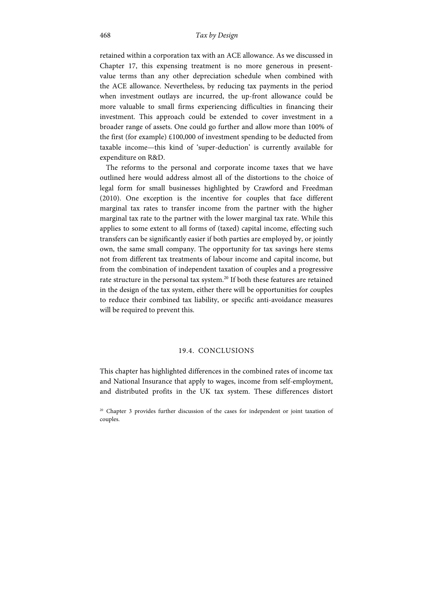retained within a corporation tax with an ACE allowance. As we discussed in Chapter 17, this expensing treatment is no more generous in presentvalue terms than any other depreciation schedule when combined with the ACE allowance. Nevertheless, by reducing tax payments in the period when investment outlays are incurred, the up-front allowance could be more valuable to small firms experiencing difficulties in financing their investment. This approach could be extended to cover investment in a broader range of assets. One could go further and allow more than 100% of the first (for example) £100,000 of investment spending to be deducted from taxable income—this kind of 'super-deduction' is currently available for expenditure on R&D.

The reforms to the personal and corporate income taxes that we have outlined here would address almost all of the distortions to the choice of legal form for small businesses highlighted by Crawford and Freedman (2010). One exception is the incentive for couples that face different marginal tax rates to transfer income from the partner with the higher marginal tax rate to the partner with the lower marginal tax rate. While this applies to some extent to all forms of (taxed) capital income, effecting such transfers can be significantly easier if both parties are employed by, or jointly own, the same small company. The opportunity for tax savings here stems not from different tax treatments of labour income and capital income, but from the combination of independent taxation of couples and a progressive rate structure in the personal tax system.<sup>20</sup> If both these features are retained in the design of the tax system, either there will be opportunities for couples to reduce their combined tax liability, or specific anti-avoidance measures will be required to prevent this.

#### 19.4. CONCLUSIONS

This chapter has highlighted differences in the combined rates of income tax and National Insurance that apply to wages, income from self-employment, and distributed profits in the UK tax system. These differences distort

<sup>&</sup>lt;sup>20</sup> Chapter 3 provides further discussion of the cases for independent or joint taxation of couples.